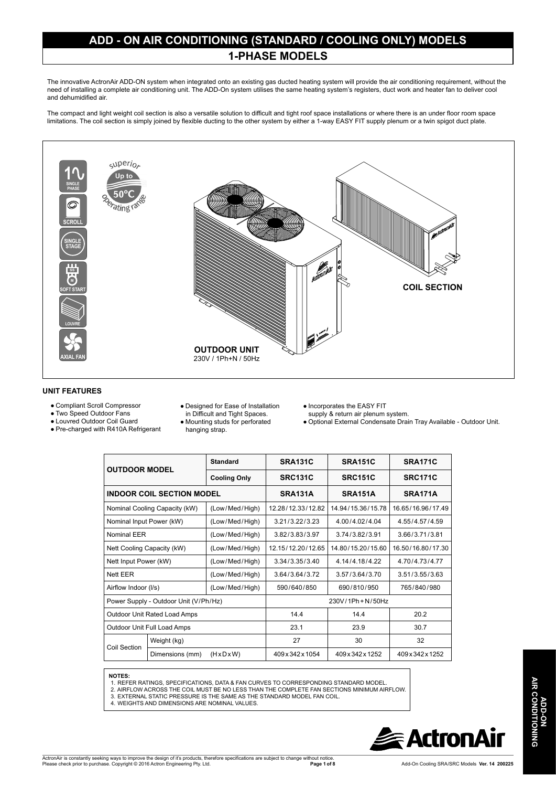#### **ADD - ON AIR CONDITIONING (STANDARD / COOLING ONLY) MODELS 1-PHASE MODELS**

The innovative ActronAir ADD-ON system when integrated onto an existing gas ducted heating system will provide the air conditioning requirement, without the need of installing a complete air conditioning unit. The ADD-On system utilises the same heating system's registers, duct work and heater fan to deliver cool and dehumidified air.

The compact and light weight coil section is also a versatile solution to difficult and tight roof space installations or where there is an under floor room space limitations. The coil section is simply joined by flexible ducting to the other system by either a 1-way EASY FIT supply plenum or a twin spigot duct plate.



#### **UNIT FEATURES**

- Compliant Scroll Compressor
- Two Speed Outdoor Fans
- Louvred Outdoor Coil Guard
- Pre-charged with R410A Refrigerant
- Designed for Ease of Installation
- in Difficult and Tight Spaces.
- Mounting studs for perforated hanging strap.
- Incorporates the EASY FIT
- supply & return air plenum system.
- Optional External Condensate Drain Tray Available Outdoor Unit.

| <b>OUTDOOR MODEL</b>                  |                 | <b>Standard</b>         | <b>SRA131C</b>    | SRA151C           | SRA171C           |
|---------------------------------------|-----------------|-------------------------|-------------------|-------------------|-------------------|
|                                       |                 | <b>Cooling Only</b>     | <b>SRC131C</b>    |                   | <b>SRC171C</b>    |
| <b>INDOOR COIL SECTION MODEL</b>      |                 | SRA131A                 | SRA151A           | SRA171A           |                   |
| Nominal Cooling Capacity (kW)         |                 | (Low/Med/High)          | 12.28/12.33/12.82 | 14.94/15.36/15.78 | 16.65/16.96/17.49 |
| Nominal Input Power (kW)              |                 | (Low/Med/High)          | 3.21/3.22/3.23    | 4.00/4.02/4.04    | 4.55/4.57/4.59    |
| Nominal EER                           |                 | (Low/Med/High)          | 3.82/3.83/3.97    | 3.74/3.82/3.91    | 3.66/3.71/3.81    |
| Nett Cooling Capacity (kW)            |                 | (Low/Med/High)          | 12.15/12.20/12.65 | 14.80/15.20/15.60 | 16.50/16.80/17.30 |
| Nett Input Power (kW)                 |                 | (Low/Med/High)          | 3.34/3.35/3.40    | 4.14/4.18/4.22    | 4.70/4.73/4.77    |
| <b>Nett EER</b>                       |                 | (Low/Med/High)          | 3.64/3.64/3.72    | 3.57/3.64/3.70    | 3.51/3.55/3.63    |
| Airflow Indoor (I/s)                  |                 | (Low/Med/High)          | 590/640/850       | 690/810/950       | 765/840/980       |
| Power Supply - Outdoor Unit (V/Ph/Hz) |                 |                         | 230V/1Ph + N/50Hz |                   |                   |
| Outdoor Unit Rated Load Amps          |                 | 14.4                    | 144               | 20.2              |                   |
| Outdoor Unit Full Load Amps           |                 | 23.1                    | 23.9              | 30.7              |                   |
| Coil Section                          | Weight (kg)     |                         | 27                | 30                | 32                |
|                                       | Dimensions (mm) | $(H \times D \times W)$ | 409 x 342 x 1054  | 409 x 342 x 1252  | 409 x 342 x 1252  |

#### **NOTES:**

- 1. REFER RATINGS, SPECIFICATIONS, DATA & FAN CURVES TO CORRESPONDING STANDARD MODEL.
- 2. AIRFLOW ACROSS THE COIL MUST BE NO LESS THAN THE COMPLETE FAN SECTIONS MINIMUM AIRFLOW.<br>3. EXTERNAL STATIC PRESSURE IS THE SAME AS THE STANDARD MODEL FAN COIL.<br>4. WEIGHTS AND DIMENSIONS ARE NOMINAL VALUES.
- 

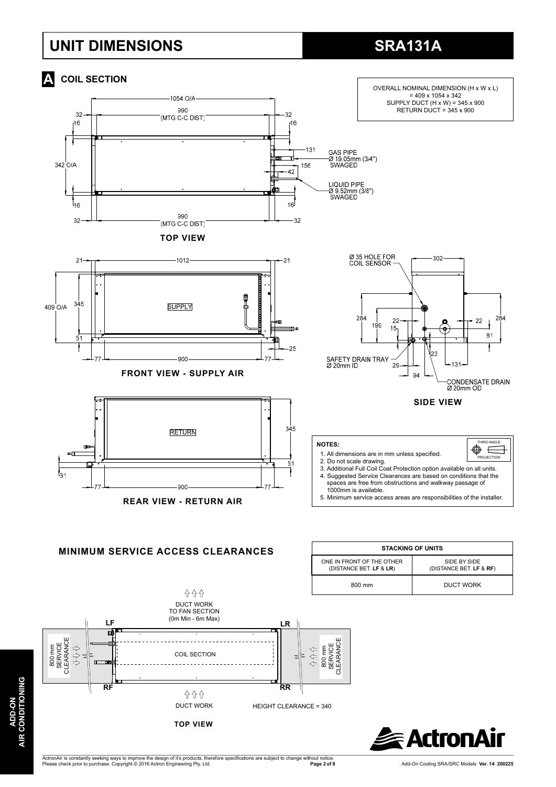#### **UNIT DIMENSIONS**

## **SRA131A**





**ADD-ON AIR CONDITIONING**

**DITIONING** 

AIR CON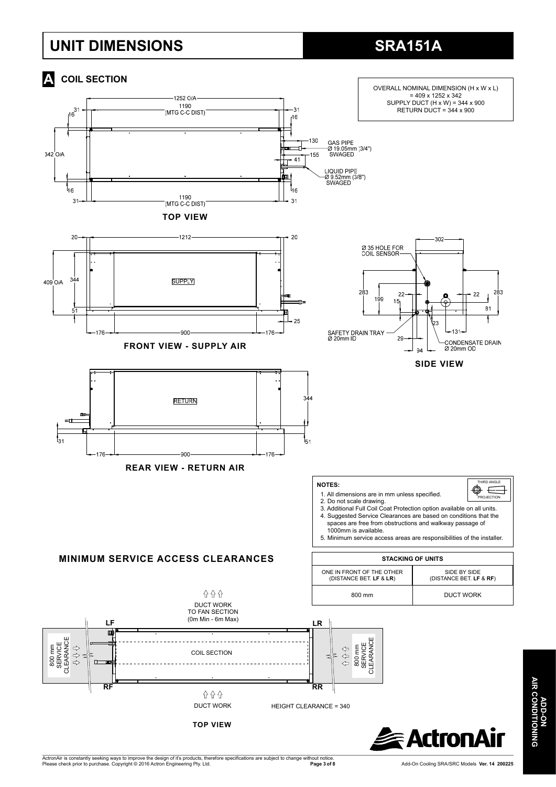### **UNIT DIMENSIONS**

# **SRA151A**



ActronAir is constantly seeking ways to improve the design of it's products, therefore specifications are subject to change without notice.<br>Please check prior to purchase. Copyright © 2016 Actron Engineering Pty. Ltd.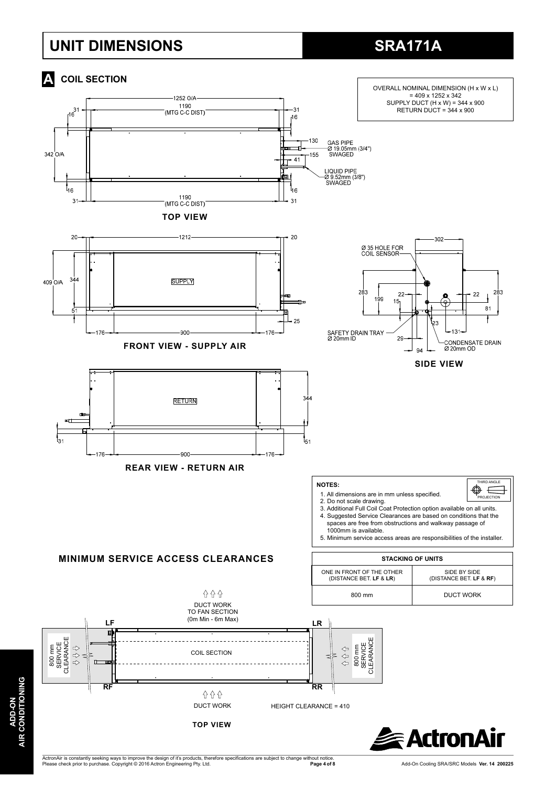#### **UNIT DIMENSIONS**

# **SRA171A**



**DITIONING AIR CONDITIONING ADD-ON ADD-ON** AIR CONI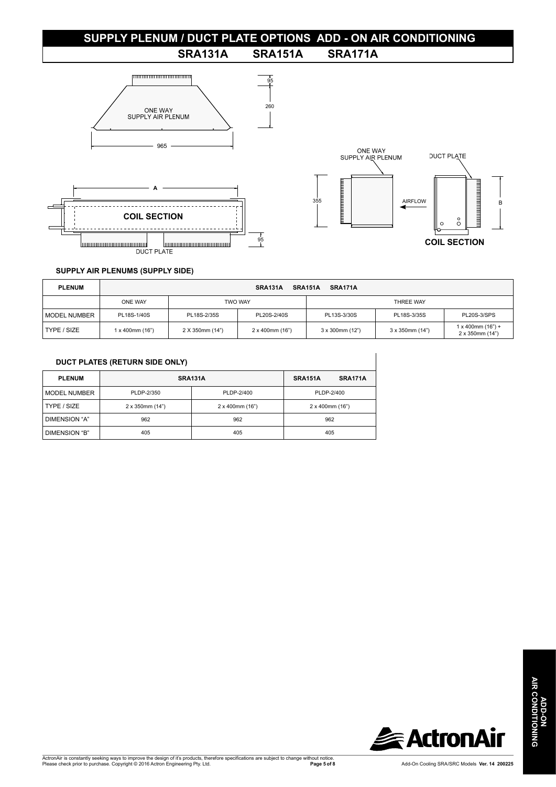#### **SUPPLY PLENUM / DUCT PLATE OPTIONS ADD - ON AIR CONDITIONING**



#### **SUPPLY AIR PLENUMS (SUPPLY SIDE)**

| <b>PLENUM</b> | SRA151A<br>SRA171A<br>SRA131A |                 |                 |                         |                 |                                           |  |
|---------------|-------------------------------|-----------------|-----------------|-------------------------|-----------------|-------------------------------------------|--|
|               | ONE WAY                       | <b>TWO WAY</b>  |                 | THREE WAY               |                 |                                           |  |
| MODEL NUMBER  | PL18S-1/40S                   | PL18S-2/35S     | PL20S-2/40S     | PL13S-3/30S             | PL18S-3/35S     | PL20S-3/SPS                               |  |
| TYPE / SIZE   | 1 x 400mm (16")               | 2 X 350mm (14") | 2 x 400mm (16") | $3 \times 300$ mm (12") | 3 x 350mm (14") | $1 x 400$ mm $(16") +$<br>2 x 350mm (14") |  |

| DUCT PLATES (RETURN SIDE ONLY) |
|--------------------------------|
|                                |

| <b>PLENUM</b>        | SRA131A         | SRA151A         | SRA171A         |  |  |  |
|----------------------|-----------------|-----------------|-----------------|--|--|--|
| <b>MODEL NUMBER</b>  | PLDP-2/350      | PLDP-2/400      | PLDP-2/400      |  |  |  |
| TYPE / SIZE          | 2 x 350mm (14") | 2 x 400mm (16") | 2 x 400mm (16") |  |  |  |
| DIMENSION "A"        | 962             | 962             | 962             |  |  |  |
| <b>DIMENSION "B"</b> | 405             | 405             | 405             |  |  |  |

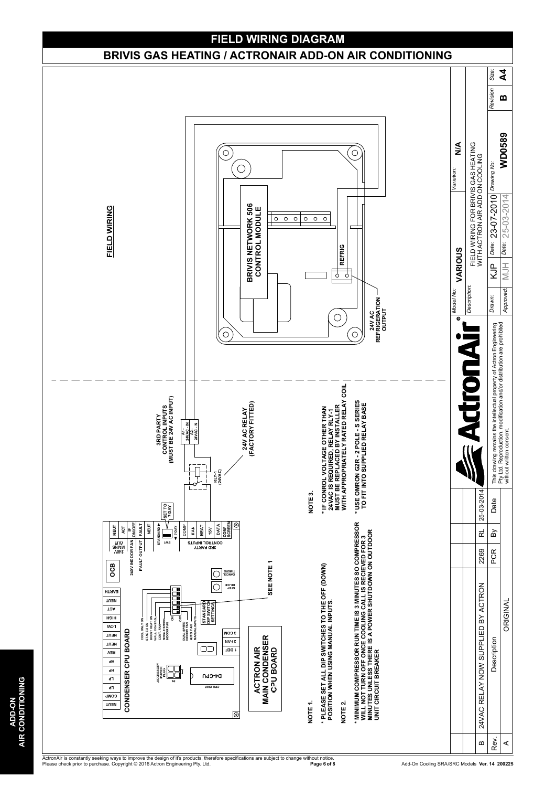

ActronAir is constantly seeking ways to improve the design of it's products, therefore specifications are subject to change without notice.<br>Please check prior to purchase. Copyright © 2016 Actron Engineering Pty. Ltd.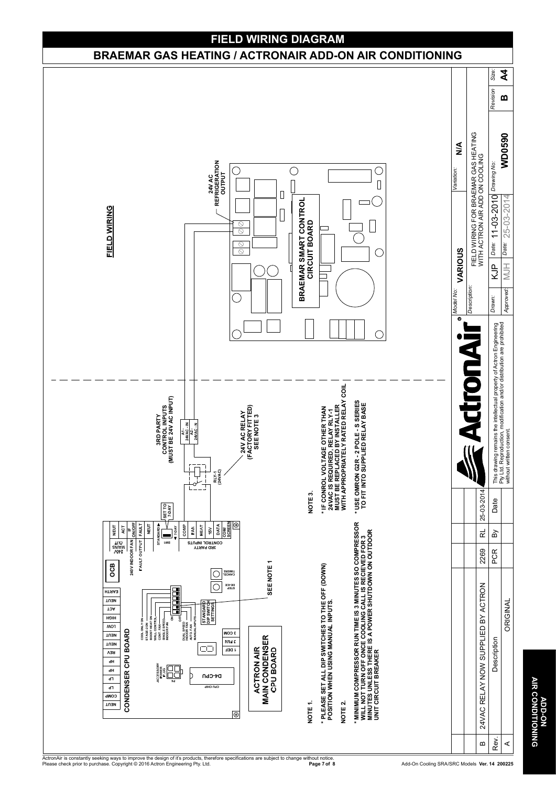

**AIR CONDITIONING**<br>AIR CONDITIONING **AIR CONDITIONING ADD-ON**